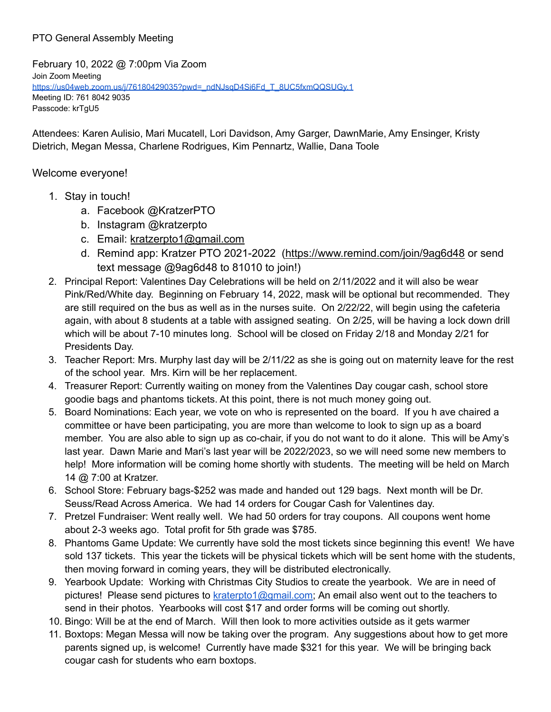## PTO General Assembly Meeting

February 10, 2022 @ 7:00pm Via Zoom Join Zoom Meeting https://us04web.zoom.us/i/76180429035?pwd=\_ndNJsqD4Si6Fd\_T\_8UC5fxmQQSUGv.1 Meeting ID: 761 8042 9035 Passcode: krTgU5

Attendees: Karen Aulisio, Mari Mucatell, Lori Davidson, Amy Garger, DawnMarie, Amy Ensinger, Kristy Dietrich, Megan Messa, Charlene Rodrigues, Kim Pennartz, Wallie, Dana Toole

## Welcome everyone!

- 1. Stay in touch!
	- a. Facebook @KratzerPTO
	- b. Instagram @kratzerpto
	- c. Email: [kratzerpto1@gmail.com](mailto:kratzerpto1@gmail.com)
	- d. Remind app: Kratzer PTO 2021-2022 [\(https://www.remind.com/join/9ag6d48](https://www.remind.com/join/9ag6d48) or send text message @9ag6d48 to 81010 to join!)
- 2. Principal Report: Valentines Day Celebrations will be held on 2/11/2022 and it will also be wear Pink/Red/White day. Beginning on February 14, 2022, mask will be optional but recommended. They are still required on the bus as well as in the nurses suite. On 2/22/22, will begin using the cafeteria again, with about 8 students at a table with assigned seating. On 2/25, will be having a lock down drill which will be about 7-10 minutes long. School will be closed on Friday 2/18 and Monday 2/21 for Presidents Day.
- 3. Teacher Report: Mrs. Murphy last day will be 2/11/22 as she is going out on maternity leave for the rest of the school year. Mrs. Kirn will be her replacement.
- 4. Treasurer Report: Currently waiting on money from the Valentines Day cougar cash, school store goodie bags and phantoms tickets. At this point, there is not much money going out.
- 5. Board Nominations: Each year, we vote on who is represented on the board. If you h ave chaired a committee or have been participating, you are more than welcome to look to sign up as a board member. You are also able to sign up as co-chair, if you do not want to do it alone. This will be Amy's last year. Dawn Marie and Mari's last year will be 2022/2023, so we will need some new members to help! More information will be coming home shortly with students. The meeting will be held on March 14 @ 7:00 at Kratzer.
- 6. School Store: February bags-\$252 was made and handed out 129 bags. Next month will be Dr. Seuss/Read Across America. We had 14 orders for Cougar Cash for Valentines day.
- 7. Pretzel Fundraiser: Went really well. We had 50 orders for tray coupons. All coupons went home about 2-3 weeks ago. Total profit for 5th grade was \$785.
- 8. Phantoms Game Update: We currently have sold the most tickets since beginning this event! We have sold 137 tickets. This year the tickets will be physical tickets which will be sent home with the students, then moving forward in coming years, they will be distributed electronically.
- 9. Yearbook Update: Working with Christmas City Studios to create the yearbook. We are in need of pictures! Please send pictures to [kraterpto1@gmail.com;](mailto:kraterpto1@gmail.com) An email also went out to the teachers to send in their photos. Yearbooks will cost \$17 and order forms will be coming out shortly.
- 10. Bingo: Will be at the end of March. Will then look to more activities outside as it gets warmer
- 11. Boxtops: Megan Messa will now be taking over the program. Any suggestions about how to get more parents signed up, is welcome! Currently have made \$321 for this year. We will be bringing back cougar cash for students who earn boxtops.